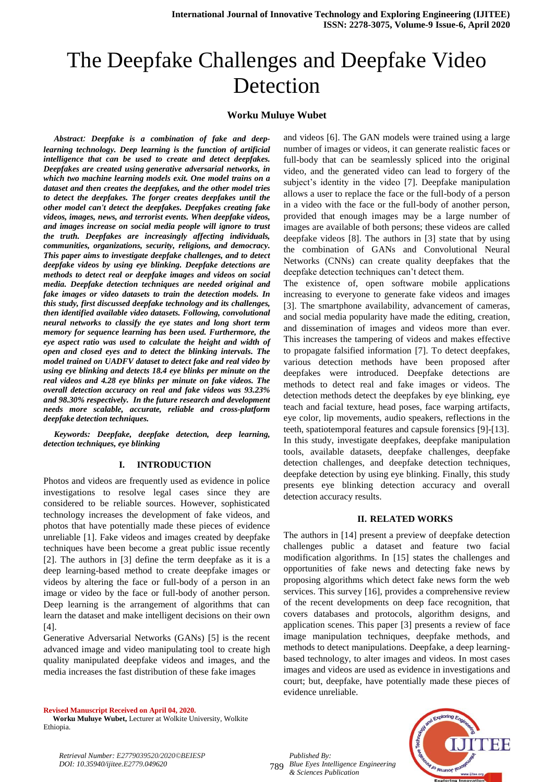# The Deepfake Challenges and Deepfake Video Detection

## **Worku Muluye Wubet**

 *Abstract: Deepfake is a combination of fake and deeplearning technology. Deep learning is the function of artificial intelligence that can be used to create and detect deepfakes. Deepfakes are created using generative adversarial networks, in which two machine learning models exit. One model trains on a dataset and then creates the deepfakes, and the other model tries to detect the deepfakes. The forger creates deepfakes until the other model can't detect the deepfakes. Deepfakes creating fake videos, images, news, and terrorist events. When deepfake videos, and images increase on social media people will ignore to trust the truth. Deepfakes are increasingly affecting individuals, communities, organizations, security, religions, and democracy. This paper aims to investigate deepfake challenges, and to detect deepfake videos by using eye blinking. Deepfake detections are methods to detect real or deepfake images and videos on social media. Deepfake detection techniques are needed original and fake images or video datasets to train the detection models. In this study, first discussed deepfake technology and its challenges, then identified available video datasets. Following, convolutional neural networks to classify the eye states and long short term memory for sequence learning has been used. Furthermore, the eye aspect ratio was used to calculate the height and width of open and closed eyes and to detect the blinking intervals. The model trained on UADFV dataset to detect fake and real video by using eye blinking and detects 18.4 eye blinks per minute on the real videos and 4.28 eye blinks per minute on fake videos. The overall detection accuracy on real and fake videos was 93.23% and 98.30% respectively. In the future research and development needs more scalable, accurate, reliable and cross-platform deepfake detection techniques.*

 *Keywords: Deepfake, deepfake detection, deep learning, detection techniques, eye blinking* 

#### **I. INTRODUCTION**

Photos and videos are frequently used as evidence in police investigations to resolve legal cases since they are considered to be reliable sources. However, sophisticated technology increases the development of fake videos, and photos that have potentially made these pieces of evidence unreliable [1]. Fake videos and images created by deepfake techniques have been become a great public issue recently [2]. The authors in [3] define the term deepfake as it is a deep learning-based method to create deepfake images or videos by altering the face or full-body of a person in an image or video by the face or full-body of another person. Deep learning is the arrangement of algorithms that can learn the dataset and make intelligent decisions on their own [4].

Generative Adversarial Networks (GANs) [5] is the recent advanced image and video manipulating tool to create high quality manipulated deepfake videos and images, and the media increases the fast distribution of these fake images

**Revised Manuscript Received on April 04, 2020.**

 **Worku Muluye Wubet,** Lecturer at Wolkite University, Wolkite Ethiopia.

and videos [6]. The GAN models were trained using a large number of images or videos, it can generate realistic faces or full-body that can be seamlessly spliced into the original video, and the generated video can lead to forgery of the subject's identity in the video [7]. Deepfake manipulation allows a user to replace the face or the full-body of a person in a video with the face or the full-body of another person, provided that enough images may be a large number of images are available of both persons; these videos are called deepfake videos [8]. The authors in [3] state that by using the combination of GANs and Convolutional Neural Networks (CNNs) can create quality deepfakes that the deepfake detection techniques can't detect them.

The existence of, open software mobile applications increasing to everyone to generate fake videos and images [3]. The smartphone availability, advancement of cameras, and social media popularity have made the editing, creation, and dissemination of images and videos more than ever. This increases the tampering of videos and makes effective to propagate falsified information [7]. To detect deepfakes, various detection methods have been proposed after deepfakes were introduced. Deepfake detections are methods to detect real and fake images or videos. The detection methods detect the deepfakes by eye blinking, eye teach and facial texture, head poses, face warping artifacts, eye color, lip movements, audio speakers, reflections in the teeth, spatiotemporal features and capsule forensics [9]-[13]. In this study, investigate deepfakes, deepfake manipulation tools, available datasets, deepfake challenges, deepfake detection challenges, and deepfake detection techniques, deepfake detection by using eye blinking. Finally, this study presents eye blinking detection accuracy and overall detection accuracy results.

#### **II. RELATED WORKS**

The authors in [14] present a preview of deepfake detection challenges public a dataset and feature two facial modification algorithms. In [15] states the challenges and opportunities of fake news and detecting fake news by proposing algorithms which detect fake news form the web services. This survey [16], provides a comprehensive review of the recent developments on deep face recognition, that covers databases and protocols, algorithm designs, and application scenes. This paper [3] presents a review of face image manipulation techniques, deepfake methods, and methods to detect manipulations. Deepfake, a deep learningbased technology, to alter images and videos. In most cases images and videos are used as evidence in investigations and court; but, deepfake, have potentially made these pieces of evidence unreliable.

*Retrieval Number: E2779039520/2020©BEIESP DOI: 10.35940/ijitee.E2779.049620*

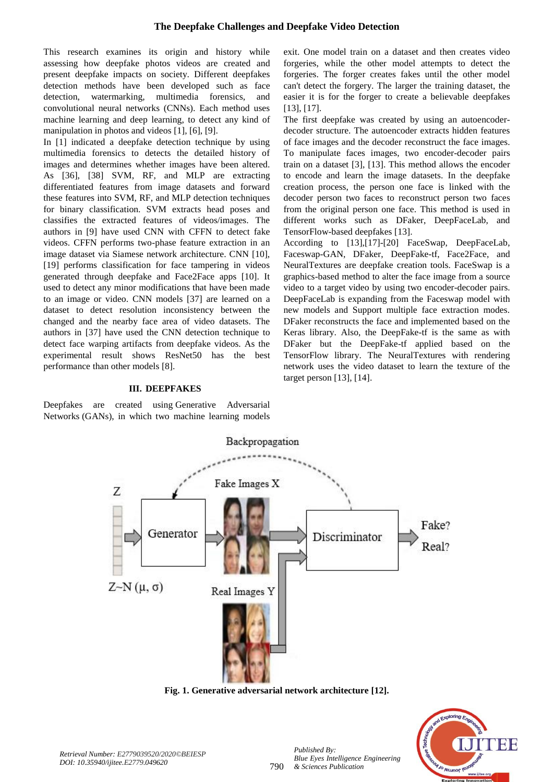This research examines its origin and history while assessing how deepfake photos videos are created and present deepfake impacts on society. Different deepfakes detection methods have been developed such as face detection, watermarking, multimedia forensics, and convolutional neural networks (CNNs). Each method uses machine learning and deep learning, to detect any kind of manipulation in photos and videos [1], [6], [9].

In [1] indicated a deepfake detection technique by using multimedia forensics to detects the detailed history of images and determines whether images have been altered. As [36], [38] SVM, RF, and MLP are extracting differentiated features from image datasets and forward these features into SVM, RF, and MLP detection techniques for binary classification. SVM extracts head poses and classifies the extracted features of videos/images. The authors in [9] have used CNN with CFFN to detect fake videos. CFFN performs two-phase feature extraction in an image dataset via Siamese network architecture. CNN [10], [19] performs classification for face tampering in videos generated through deepfake and Face2Face apps [10]. It used to detect any minor modifications that have been made to an image or video. CNN models [37] are learned on a dataset to detect resolution inconsistency between the changed and the nearby face area of video datasets. The authors in [37] have used the CNN detection technique to detect face warping artifacts from deepfake videos. As the experimental result shows ResNet50 has the best performance than other models [8].

#### **III. DEEPFAKES**

Deepfakes are created using Generative Adversarial Networks (GANs), in which two machine learning models exit. One model train on a dataset and then creates video forgeries, while the other model attempts to detect the forgeries. The forger creates fakes until the other model can't detect the forgery. The larger the training dataset, the easier it is for the forger to create a believable deepfakes [13], [17].

The first deepfake was created by using an autoencoderdecoder structure. The autoencoder extracts hidden features of face images and the decoder reconstruct the face images. To manipulate faces images, two encoder-decoder pairs train on a dataset [3], [13]. This method allows the encoder to encode and learn the image datasets. In the deepfake creation process, the person one face is linked with the decoder person two faces to reconstruct person two faces from the original person one face. This method is used in different works such as DFaker, DeepFaceLab, and TensorFlow-based deepfakes [13].

According to [13],[17]-[20] FaceSwap, DeepFaceLab, Faceswap-GAN, DFaker, DeepFake-tf, Face2Face, and NeuralTextures are deepfake creation tools. FaceSwap is a graphics-based method to alter the face image from a source video to a target video by using two encoder-decoder pairs. DeepFaceLab is expanding from the Faceswap model with new models and Support multiple face extraction modes. DFaker reconstructs the face and implemented based on the Keras library. Also, the DeepFake-tf is the same as with DFaker but the DeepFake-tf applied based on the TensorFlow library. The NeuralTextures with rendering network uses the video dataset to learn the texture of the target person [13], [14].



**Fig. 1. Generative adversarial network architecture [12].**



*Published By:*

*& Sciences Publication*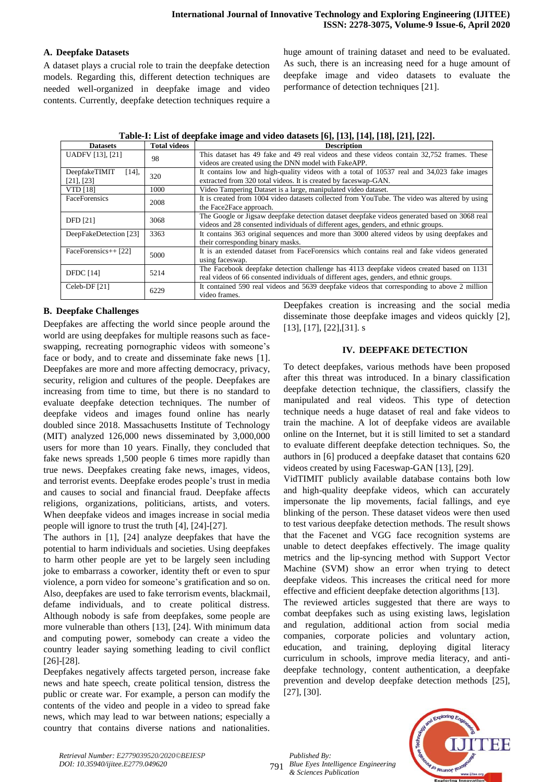## **A. Deepfake Datasets**

A dataset plays a crucial role to train the deepfake detection models. Regarding this, different detection techniques are needed well-organized in deepfake image and video contents. Currently, deepfake detection techniques require a huge amount of training dataset and need to be evaluated. As such, there is an increasing need for a huge amount of deepfake image and video datasets to evaluate the performance of detection techniques [21].

| <b>Datasets</b>                     | <b>Total videos</b> | <b>Description</b>                                                                            |  |  |
|-------------------------------------|---------------------|-----------------------------------------------------------------------------------------------|--|--|
| <b>UADFV</b> [13], [21]             | 98                  | This dataset has 49 fake and 49 real videos and these videos contain 32,752 frames. These     |  |  |
|                                     |                     | videos are created using the DNN model with FakeAPP.                                          |  |  |
| DeepfakeTIMIT<br>$[14]$ ,           | 320                 | It contains low and high-quality videos with a total of 10537 real and 34,023 fake images     |  |  |
| $[21]$ , $[23]$                     |                     | extracted from 320 total videos. It is created by faceswap-GAN.                               |  |  |
| <b>VTD</b> [18]                     | 1000                | Video Tampering Dataset is a large, manipulated video dataset.                                |  |  |
| <b>FaceForensics</b>                | 2008                | It is created from 1004 video datasets collected from YouTube. The video was altered by using |  |  |
|                                     |                     | the Face2Face approach.                                                                       |  |  |
|                                     | 3068                | The Google or Jigsaw deepfake detection dataset deepfake videos generated based on 3068 real  |  |  |
|                                     |                     | videos and 28 consented individuals of different ages, genders, and ethnic groups.            |  |  |
| DeepFakeDetection [23]              | 3363                | It contains 363 original sequences and more than 3000 altered videos by using deepfakes and   |  |  |
|                                     |                     | their corresponding binary masks.                                                             |  |  |
| FaceForensics++ [22]                |                     |                                                                                               |  |  |
|                                     |                     | using faceswap.                                                                               |  |  |
|                                     | 5214                | The Facebook deepfake detection challenge has 4113 deepfake videos created based on 1131      |  |  |
|                                     |                     | real videos of 66 consented individuals of different ages, genders, and ethnic groups.        |  |  |
| Celeb-DF [21]                       |                     | It contained 590 real videos and 5639 deepfake videos that corresponding to above 2 million   |  |  |
|                                     |                     | video frames.                                                                                 |  |  |
| <b>DFD</b> [21]<br><b>DFDC</b> [14] | 5000<br>6229        | It is an extended dataset from FaceForensics which contains real and fake videos generated    |  |  |

## **B. Deepfake Challenges**

Deepfakes are affecting the world since people around the world are using deepfakes for multiple reasons such as faceswapping, recreating pornographic videos with someone's face or body, and to create and disseminate fake news [1]. Deepfakes are more and more affecting democracy, privacy, security, religion and cultures of the people. Deepfakes are increasing from time to time, but there is no standard to evaluate deepfake detection techniques. The number of deepfake videos and images found online has nearly doubled since 2018. Massachusetts Institute of Technology (MIT) analyzed 126,000 news disseminated by 3,000,000 users for more than 10 years. Finally, they concluded that fake news spreads 1,500 people 6 times more rapidly than true news. Deepfakes creating fake news, images, videos, and terrorist events. Deepfake erodes people's trust in media and causes to social and financial fraud. Deepfake affects religions, organizations, politicians, artists, and voters. When deepfake videos and images increase in social media people will ignore to trust the truth [4], [24]-[27].

The authors in [1], [24] analyze deepfakes that have the potential to harm individuals and societies. Using deepfakes to harm other people are yet to be largely seen including joke to embarrass a coworker, identity theft or even to spur violence, a porn video for someone's gratification and so on. Also, deepfakes are used to fake terrorism events, blackmail, defame individuals, and to create political distress. Although nobody is safe from deepfakes, some people are more vulnerable than others [13], [24]. With minimum data and computing power, somebody can create a video the country leader saying something leading to civil conflict [26]-[28].

Deepfakes negatively affects targeted person, increase fake news and hate speech, create political tension, distress the public or create war. For example, a person can modify the contents of the video and people in a video to spread fake news, which may lead to war between nations; especially a country that contains diverse nations and nationalities. Deepfakes creation is increasing and the social media disseminate those deepfake images and videos quickly [2], [13], [17], [22],[31]. s

#### **IV. DEEPFAKE DETECTION**

To detect deepfakes, various methods have been proposed after this threat was introduced. In a binary classification deepfake detection technique, the classifiers, classify the manipulated and real videos. This type of detection technique needs a huge dataset of real and fake videos to train the machine. A lot of deepfake videos are available online on the Internet, but it is still limited to set a standard to evaluate different deepfake detection techniques. So, the authors in [6] produced a deepfake dataset that contains 620 videos created by using Faceswap-GAN [13], [29].

VidTIMIT publicly available database contains both low and high-quality deepfake videos, which can accurately impersonate the lip movements, facial fallings, and eye blinking of the person. These dataset videos were then used to test various deepfake detection methods. The result shows that the Facenet and VGG face recognition systems are unable to detect deepfakes effectively. The image quality metrics and the lip-syncing method with Support Vector Machine (SVM) show an error when trying to detect deepfake videos. This increases the critical need for more effective and efficient deepfake detection algorithms [13].

The reviewed articles suggested that there are ways to combat deepfakes such as using existing laws, legislation and regulation, additional action from social media companies, corporate policies and voluntary action, education, and training, deploying digital literacy curriculum in schools, improve media literacy, and antideepfake technology, content authentication, a deepfake prevention and develop deepfake detection methods [25], [27], [30].

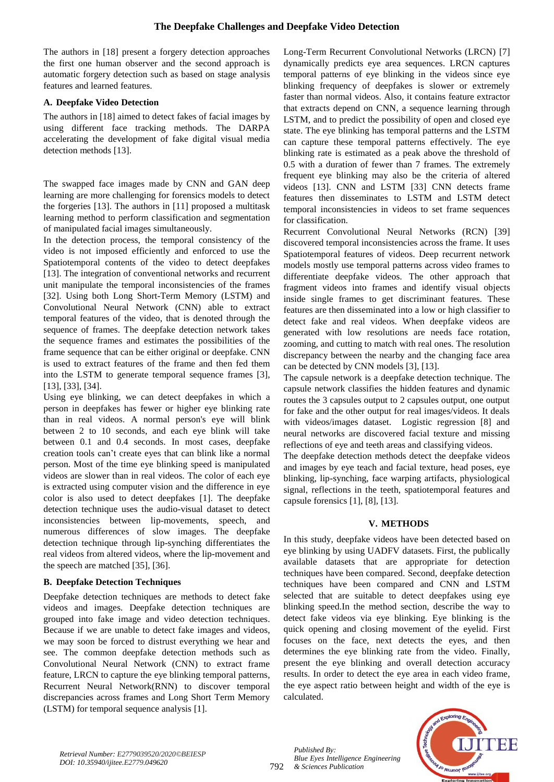The authors in [18] present a forgery detection approaches the first one human observer and the second approach is automatic forgery detection such as based on stage analysis features and learned features.

### **A. Deepfake Video Detection**

The authors in [18] aimed to detect fakes of facial images by using different face tracking methods. The DARPA accelerating the development of fake digital visual media detection methods [13].

The swapped face images made by CNN and GAN deep learning are more challenging for forensics models to detect the forgeries [13]. The authors in [11] proposed a multitask learning method to perform classification and segmentation of manipulated facial images simultaneously.

In the detection process, the temporal consistency of the video is not imposed efficiently and enforced to use the Spatiotemporal contents of the video to detect deepfakes [13]. The integration of conventional networks and recurrent unit manipulate the temporal inconsistencies of the frames [32]. Using both Long Short-Term Memory (LSTM) and Convolutional Neural Network (CNN) able to extract temporal features of the video, that is denoted through the sequence of frames. The deepfake detection network takes the sequence frames and estimates the possibilities of the frame sequence that can be either original or deepfake. CNN is used to extract features of the frame and then fed them into the LSTM to generate temporal sequence frames [3], [13], [33], [34].

Using eye blinking, we can detect deepfakes in which a person in deepfakes has fewer or higher eye blinking rate than in real videos. A normal person's eye will blink between 2 to 10 seconds, and each eye blink will take between 0.1 and 0.4 seconds. In most cases, deepfake creation tools can't create eyes that can blink like a normal person. Most of the time eye blinking speed is manipulated videos are slower than in real videos. The color of each eye is extracted using computer vision and the difference in eye color is also used to detect deepfakes [1]. The deepfake detection technique uses the audio-visual dataset to detect inconsistencies between lip-movements, speech, and numerous differences of slow images. The deepfake detection technique through lip-synching differentiates the real videos from altered videos, where the lip-movement and the speech are matched [35], [36].

## **B. Deepfake Detection Techniques**

Deepfake detection techniques are methods to detect fake videos and images. Deepfake detection techniques are grouped into fake image and video detection techniques. Because if we are unable to detect fake images and videos, we may soon be forced to distrust everything we hear and see. The common deepfake detection methods such as Convolutional Neural Network (CNN) to extract frame feature, LRCN to capture the eye blinking temporal patterns, Recurrent Neural Network(RNN) to discover temporal discrepancies across frames and Long Short Term Memory (LSTM) for temporal sequence analysis [1].

Long-Term Recurrent Convolutional Networks (LRCN) [7] dynamically predicts eye area sequences. LRCN captures temporal patterns of eye blinking in the videos since eye blinking frequency of deepfakes is slower or extremely faster than normal videos. Also, it contains feature extractor that extracts depend on CNN, a sequence learning through LSTM, and to predict the possibility of open and closed eye state. The eye blinking has temporal patterns and the LSTM can capture these temporal patterns effectively. The eye blinking rate is estimated as a peak above the threshold of 0.5 with a duration of fewer than 7 frames. The extremely frequent eye blinking may also be the criteria of altered videos [13]. CNN and LSTM [33] CNN detects frame features then disseminates to LSTM and LSTM detect temporal inconsistencies in videos to set frame sequences for classification.

Recurrent Convolutional Neural Networks (RCN) [39] discovered temporal inconsistencies across the frame. It uses Spatiotemporal features of videos. Deep recurrent network models mostly use temporal patterns across video frames to differentiate deepfake videos. The other approach that fragment videos into frames and identify visual objects inside single frames to get discriminant features. These features are then disseminated into a low or high classifier to detect fake and real videos. When deepfake videos are generated with low resolutions are needs face rotation, zooming, and cutting to match with real ones. The resolution discrepancy between the nearby and the changing face area can be detected by CNN models [3], [13].

The capsule network is a deepfake detection technique. The capsule network classifies the hidden features and dynamic routes the 3 capsules output to 2 capsules output, one output for fake and the other output for real images/videos. It deals with videos/images dataset. Logistic regression [8] and neural networks are discovered facial texture and missing reflections of eye and teeth areas and classifying videos.

The deepfake detection methods detect the deepfake videos and images by eye teach and facial texture, head poses, eye blinking, lip-synching, face warping artifacts, physiological signal, reflections in the teeth, spatiotemporal features and capsule forensics [1], [8], [13].

#### **V. METHODS**

In this study, deepfake videos have been detected based on eye blinking by using UADFV datasets. First, the publically available datasets that are appropriate for detection techniques have been compared. Second, deepfake detection techniques have been compared and CNN and LSTM selected that are suitable to detect deepfakes using eye blinking speed.In the method section, describe the way to detect fake videos via eye blinking. Eye blinking is the quick opening and closing movement of the eyelid. First focuses on the face, next detects the eyes, and then determines the eye blinking rate from the video. Finally, present the eye blinking and overall detection accuracy results. In order to detect the eye area in each video frame, the eye aspect ratio between height and width of the eye is calculated.



*Published By:*

*& Sciences Publication*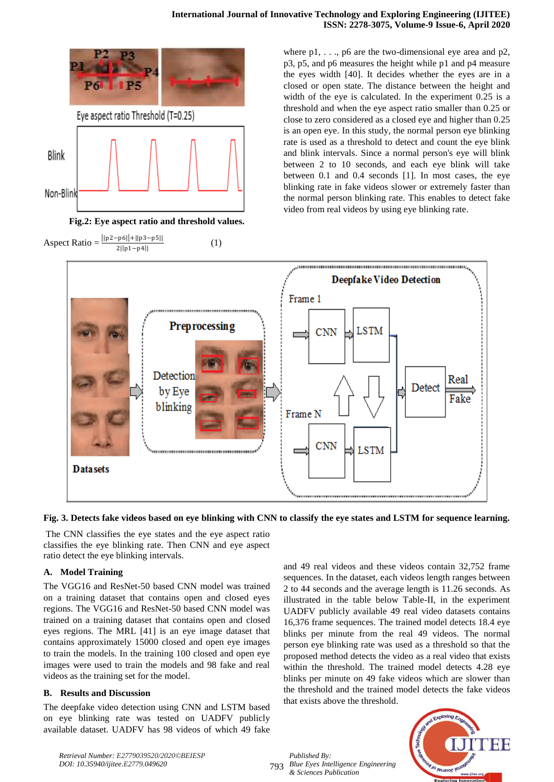





where  $p1, \ldots, p6$  are the two-dimensional eye area and  $p2$ , p3, p5, and p6 measures the height while p1 and p4 measure the eyes width [40]. It decides whether the eyes are in a closed or open state. The distance between the height and width of the eye is calculated. In the experiment 0.25 is a threshold and when the eye aspect ratio smaller than 0.25 or close to zero considered as a closed eye and higher than 0.25 is an open eye. In this study, the normal person eye blinking rate is used as a threshold to detect and count the eye blink and blink intervals. Since a normal person's eye will blink between 2 to 10 seconds, and each eye blink will take between 0.1 and 0.4 seconds [1]. In most cases, the eye blinking rate in fake videos slower or extremely faster than the normal person blinking rate. This enables to detect fake video from real videos by using eye blinking rate.



#### **Fig. 3. Detects fake videos based on eye blinking with CNN to classify the eye states and LSTM for sequence learning.**

The CNN classifies the eye states and the eye aspect ratio classifies the eye blinking rate. Then CNN and eye aspect ratio detect the eye blinking intervals.

## **A. Model Training**

The VGG16 and ResNet-50 based CNN model was trained on a training dataset that contains open and closed eyes regions. The VGG16 and ResNet-50 based CNN model was trained on a training dataset that contains open and closed eyes regions. The MRL [41] is an eye image dataset that contains approximately 15000 closed and open eye images to train the models. In the training 100 closed and open eye images were used to train the models and 98 fake and real videos as the training set for the model.

#### **B. Results and Discussion**

The deepfake video detection using CNN and LSTM based on eye blinking rate was tested on UADFV publicly available dataset. UADFV has 98 videos of which 49 fake and 49 real videos and these videos contain 32,752 frame sequences. In the dataset, each videos length ranges between 2 to 44 seconds and the average length is 11.26 seconds. As illustrated in the table below Table-II, in the experiment UADFV publicly available 49 real video datasets contains 16,376 frame sequences. The trained model detects 18.4 eye blinks per minute from the real 49 videos. The normal person eye blinking rate was used as a threshold so that the proposed method detects the video as a real video that exists within the threshold. The trained model detects 4.28 eye blinks per minute on 49 fake videos which are slower than the threshold and the trained model detects the fake videos that exists above the threshold.

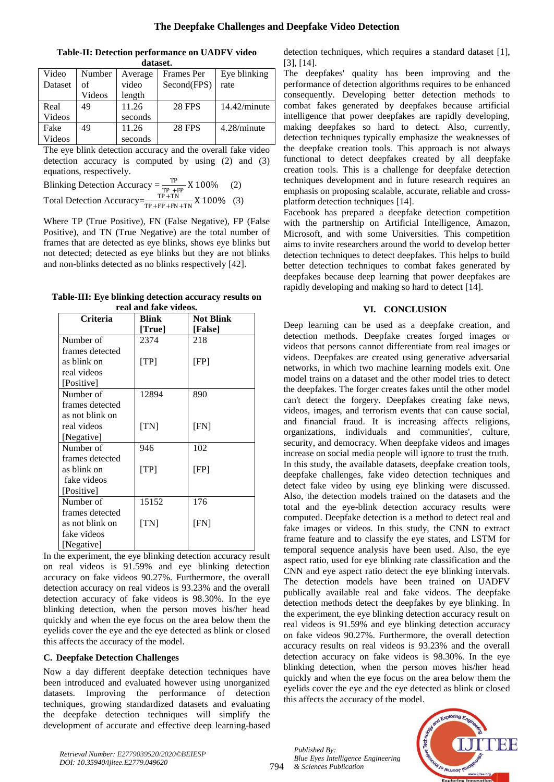## **The Deepfake Challenges and Deepfake Video Detection**

| uatast. |        |         |                   |              |  |  |
|---------|--------|---------|-------------------|--------------|--|--|
| Video   | Number | Average | <b>Frames</b> Per | Eye blinking |  |  |
| Dataset | of     | video   | Second(FPS)       | rate         |  |  |
|         | Videos | length  |                   |              |  |  |
| Real    | 49     | 11.26   | <b>28 FPS</b>     | 14.42/minute |  |  |
| Videos  |        | seconds |                   |              |  |  |
| Fake    | 49     | 11.26   | <b>28 FPS</b>     | 4.28/minute  |  |  |
| Videos  |        | seconds |                   |              |  |  |

**Table-II: Detection performance on UADFV video dataset.**

The eye blink detection accuracy and the overall fake video detection accuracy is computed by using (2) and (3) equations, respectively.

Blinking Detection Accuracy =  $\frac{TP}{TP + FP} X 100\%$  (2) Total Detection Accuracy= $\frac{\text{TP + TN}}{\text{TP + FP + FN + TN}}$  X 100% (3)

Where TP (True Positive), FN (False Negative), FP (False Positive), and TN (True Negative) are the total number of frames that are detected as eye blinks, shows eye blinks but not detected; detected as eye blinks but they are not blinks and non-blinks detected as no blinks respectively [42].

**Table-III: Eye blinking detection accuracy results on real and fake videos.**

| <b>Criteria</b> | <b>Blink</b> | <b>Not Blink</b> |
|-----------------|--------------|------------------|
|                 | [True]       | [False]          |
| Number of       | 2374         | 218              |
| frames detected |              |                  |
| as blink on     | [TP]         | [FP]             |
| real videos     |              |                  |
| [Positive]      |              |                  |
| Number of       | 12894        | 890              |
| frames detected |              |                  |
| as not blink on |              |                  |
| real videos     | [TN]         | [FN]             |
| [Negative]      |              |                  |
| Number of       | 946          | 102              |
| frames detected |              |                  |
| as blink on     | [TP]         | [FP]             |
| fake videos     |              |                  |
| [Positive]      |              |                  |
| Number of       | 15152        | 176              |
| frames detected |              |                  |
| as not blink on | [TN]         | [FN]             |
| fake videos     |              |                  |
| [Negative]      |              |                  |

In the experiment, the eye blinking detection accuracy result on real videos is 91.59% and eye blinking detection accuracy on fake videos 90.27%. Furthermore, the overall detection accuracy on real videos is 93.23% and the overall detection accuracy of fake videos is 98.30%. In the eye blinking detection, when the person moves his/her head quickly and when the eye focus on the area below them the eyelids cover the eye and the eye detected as blink or closed this affects the accuracy of the model.

#### **C. Deepfake Detection Challenges**

Now a day different deepfake detection techniques have been introduced and evaluated however using unorganized datasets. Improving the performance of detection techniques, growing standardized datasets and evaluating the deepfake detection techniques will simplify the development of accurate and effective deep learning-based detection techniques, which requires a standard dataset [1], [3], [14].

The deepfakes' quality has been improving and the performance of detection algorithms requires to be enhanced consequently. Developing better detection methods to combat fakes generated by deepfakes because artificial intelligence that power deepfakes are rapidly developing, making deepfakes so hard to detect. Also, currently, detection techniques typically emphasize the weaknesses of the deepfake creation tools. This approach is not always functional to detect deepfakes created by all deepfake creation tools. This is a challenge for deepfake detection techniques development and in future research requires an emphasis on proposing scalable, accurate, reliable and crossplatform detection techniques [14].

Facebook has prepared a deepfake detection competition with the partnership on Artificial Intelligence, Amazon, Microsoft, and with some Universities. This competition aims to invite researchers around the world to develop better detection techniques to detect deepfakes. This helps to build better detection techniques to combat fakes generated by deepfakes because deep learning that power deepfakes are rapidly developing and making so hard to detect [14].

## **VI. CONCLUSION**

Deep learning can be used as a deepfake creation, and detection methods. Deepfake creates forged images or videos that persons cannot differentiate from real images or videos. Deepfakes are created using generative adversarial networks, in which two machine learning models exit. One model trains on a dataset and the other model tries to detect the deepfakes. The forger creates fakes until the other model can't detect the forgery. Deepfakes creating fake news, videos, images, and terrorism events that can cause social, and financial fraud. It is increasing affects religions, organizations, individuals and communities', culture, security, and democracy. When deepfake videos and images increase on social media people will ignore to trust the truth. In this study, the available datasets, deepfake creation tools, deepfake challenges, fake video detection techniques and detect fake video by using eye blinking were discussed. Also, the detection models trained on the datasets and the total and the eye-blink detection accuracy results were computed. Deepfake detection is a method to detect real and fake images or videos. In this study, the CNN to extract frame feature and to classify the eye states, and LSTM for temporal sequence analysis have been used. Also, the eye aspect ratio, used for eye blinking rate classification and the CNN and eye aspect ratio detect the eye blinking intervals. The detection models have been trained on UADFV publically available real and fake videos. The deepfake detection methods detect the deepfakes by eye blinking. In the experiment, the eye blinking detection accuracy result on real videos is 91.59% and eye blinking detection accuracy on fake videos 90.27%. Furthermore, the overall detection accuracy results on real videos is 93.23% and the overall detection accuracy on fake videos is 98.30%. In the eye blinking detection, when the person moves his/her head quickly and when the eye focus on the area below them the eyelids cover the eye and the eye detected as blink or closed this affects the accuracy of the model.



*Retrieval Number: E2779039520/2020©BEIESP DOI: 10.35940/ijitee.E2779.049620*

794

*Published By:*

*& Sciences Publication*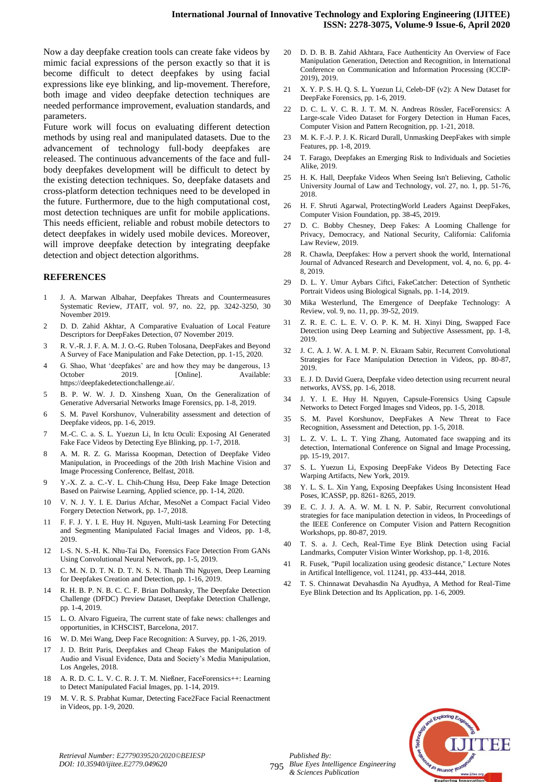Now a day deepfake creation tools can create fake videos by mimic facial expressions of the person exactly so that it is become difficult to detect deepfakes by using facial expressions like eye blinking, and lip-movement. Therefore, both image and video deepfake detection techniques are needed performance improvement, evaluation standards, and parameters.

Future work will focus on evaluating different detection methods by using real and manipulated datasets. Due to the advancement of technology full-body deepfakes are released. The continuous advancements of the face and fullbody deepfakes development will be difficult to detect by the existing detection techniques. So, deepfake datasets and cross-platform detection techniques need to be developed in the future. Furthermore, due to the high computational cost, most detection techniques are unfit for mobile applications. This needs efficient, reliable and robust mobile detectors to detect deepfakes in widely used mobile devices. Moreover, will improve deepfake detection by integrating deepfake detection and object detection algorithms.

#### **REFERENCES**

- 1 J. A. Marwan Albahar, Deepfakes Threats and Countermeasures Systematic Review, JTAIT, vol. 97, no. 22, pp. 3242-3250, 30 November 2019.
- 2 D. D. Zahid Akhtar, A Comparative Evaluation of Local Feature Descriptors for DeepFakes Detection, 07 November 2019.
- 3 R. V.-R. J. F. A. M. J. O.-G. Ruben Tolosana, DeepFakes and Beyond A Survey of Face Manipulation and Fake Detection, pp. 1-15, 2020.
- 4 G. Shao, What 'deepfakes' are and how they may be dangerous, 13 October 2019. [Online]. Available: https://deepfakedetectionchallenge.ai/.
- 5 B. P. W. W. J. D. Xinsheng Xuan, On the Generalization of Generative Adversarial Networks Image Forensics, pp. 1-8, 2019.
- 6 S. M. Pavel Korshunov, Vulnerability assessment and detection of Deepfake videos, pp. 1-6, 2019.
- 7 M.-C. C. a. S. L. Yuezun Li, In Ictu Oculi: Exposing AI Generated Fake Face Videos by Detecting Eye Blinking, pp. 1-7, 2018.
- 8 A. M. R. Z. G. Marissa Koopman, Detection of Deepfake Video Manipulation, in Proceedings of the 20th Irish Machine Vision and Image Processing Conference, Belfast, 2018.
- 9 Y.-X. Z. a. C.-Y. L. Chih-Chung Hsu, Deep Fake Image Detection Based on Pairwise Learning, Applied science, pp. 1-14, 2020.
- 10 V. N. J. Y. I. E. Darius Afchar, MesoNet a Compact Facial Video Forgery Detection Network, pp. 1-7, 2018.
- 11 F. F. J. Y. I. E. Huy H. Nguyen, Multi-task Learning For Detecting and Segmenting Manipulated Facial Images and Videos, pp. 1-8, 2019.
- 12 I.-S. N. S.-H. K. Nhu-Tai Do, Forensics Face Detection From GANs Using Convolutional Neural Network, pp. 1-5, 2019.
- 13 C. M. N. D. T. N. D. T. N. S. N. Thanh Thi Nguyen, Deep Learning for Deepfakes Creation and Detection, pp. 1-16, 2019.
- 14 R. H. B. P. N. B. C. C. F. Brian Dolhansky, The Deepfake Detection Challenge (DFDC) Preview Dataset, Deepfake Detection Challenge, pp. 1-4, 2019.
- 15 L. O. Alvaro Figueira, The current state of fake news: challenges and opportunities, in ICHSCIST, Barcelona, 2017.
- 16 W. D. Mei Wang, Deep Face Recognition: A Survey, pp. 1-26, 2019.
- 17 J. D. Britt Paris, Deepfakes and Cheap Fakes the Manipulation of Audio and Visual Evidence, Data and Society's Media Manipulation, Los Angeles, 2018.
- 18 A. R. D. C. L. V. C. R. J. T. M. Nießner, FaceForensics++: Learning to Detect Manipulated Facial Images, pp. 1-14, 2019.
- 19 M. V. R. S. Prabhat Kumar, Detecting Face2Face Facial Reenactment in Videos, pp. 1-9, 2020.
- 20 D. D. B. B. Zahid Akhtara, Face Authenticity An Overview of Face Manipulation Generation, Detection and Recognition, in International Conference on Communication and Information Processing (ICCIP-2019), 2019.
- 21 X. Y. P. S. H. Q. S. L. Yuezun Li, Celeb-DF (v2): A New Dataset for DeepFake Forensics, pp. 1-6, 2019.
- 22 D. C. L. V. C. R. J. T. M. N. Andreas Rössler, FaceForensics: A Large-scale Video Dataset for Forgery Detection in Human Faces, Computer Vision and Pattern Recognition, pp. 1-21, 2018.
- 23 M. K. F.-J. P. J. K. Ricard Durall, Unmasking DeepFakes with simple Features, pp. 1-8, 2019.
- 24 T. Farago, Deepfakes an Emerging Risk to Individuals and Societies Alike, 2019.
- 25 H. K. Hall, Deepfake Videos When Seeing Isn't Believing, Catholic University Journal of Law and Technology, vol. 27, no. 1, pp. 51-76, 2018.
- 26 H. F. Shruti Agarwal, ProtectingWorld Leaders Against DeepFakes, Computer Vision Foundation, pp. 38-45, 2019.
- 27 D. C. Bobby Chesney, Deep Fakes: A Looming Challenge for Privacy, Democracy, and National Security, California: California Law Review, 2019.
- 28 R. Chawla, Deepfakes: How a pervert shook the world, International Journal of Advanced Research and Development, vol. 4, no. 6, pp. 4- 8, 2019.
- 29 D. L. Y. Umur Aybars Ciftci, FakeCatcher: Detection of Synthetic Portrait Videos using Biological Signals, pp. 1-14, 2019.
- 30 Mika Westerlund, The Emergence of Deepfake Technology: A Review, vol. 9, no. 11, pp. 39-52, 2019.
- 31 Z. R. E. C. L. E. V. O. P. K. M. H. Xinyi Ding, Swapped Face Detection using Deep Learning and Subjective Assessment, pp. 1-8, 2019.
- 32 J. C. A. J. W. A. I. M. P. N. Ekraam Sabir, Recurrent Convolutional Strategies for Face Manipulation Detection in Videos, pp. 80-87, 2019.
- 33 E. J. D. David Guera, Deepfake video detection using recurrent neural networks, AVSS, pp. 1-6, 2018.
- 34 J. Y. I. E. Huy H. Nguyen, Capsule-Forensics Using Capsule Networks to Detect Forged Images snd Videos, pp. 1-5, 2018.
- 35 S. M. Pavel Korshunov, DeepFakes A New Threat to Face Recognition, Assessment and Detection, pp. 1-5, 2018.
- 3] L. Z. V. L. L. T. Ying Zhang, Automated face swapping and its detection, International Conference on Signal and Image Processing, pp. 15-19, 2017.
- 37 S. L. Yuezun Li, Exposing DeepFake Videos By Detecting Face Warping Artifacts, New York, 2019.
- 38 Y. L. S. L. Xin Yang, Exposing Deepfakes Using Inconsistent Head Poses, ICASSP, pp. 8261- 8265, 2019.
- 39 E. C. J. J. A. A. W. M. I. N. P. Sabir, Recurrent convolutional strategies for face manipulation detection in videos, In Proceedings of the IEEE Conference on Computer Vision and Pattern Recognition Workshops, pp. 80-87, 2019.
- 40 T. S. a. J. Cech, Real-Time Eye Blink Detection using Facial Landmarks, Computer Vision Winter Workshop, pp. 1-8, 2016.
- 41 R. Fusek, "Pupil localization using geodesic distance," Lecture Notes in Artifical Intelligence, vol. 11241, pp. 433-444, 2018.
- 42 T. S. Chinnawat Devahasdin Na Ayudhya, A Method for Real-Time Eye Blink Detection and Its Application, pp. 1-6, 2009.